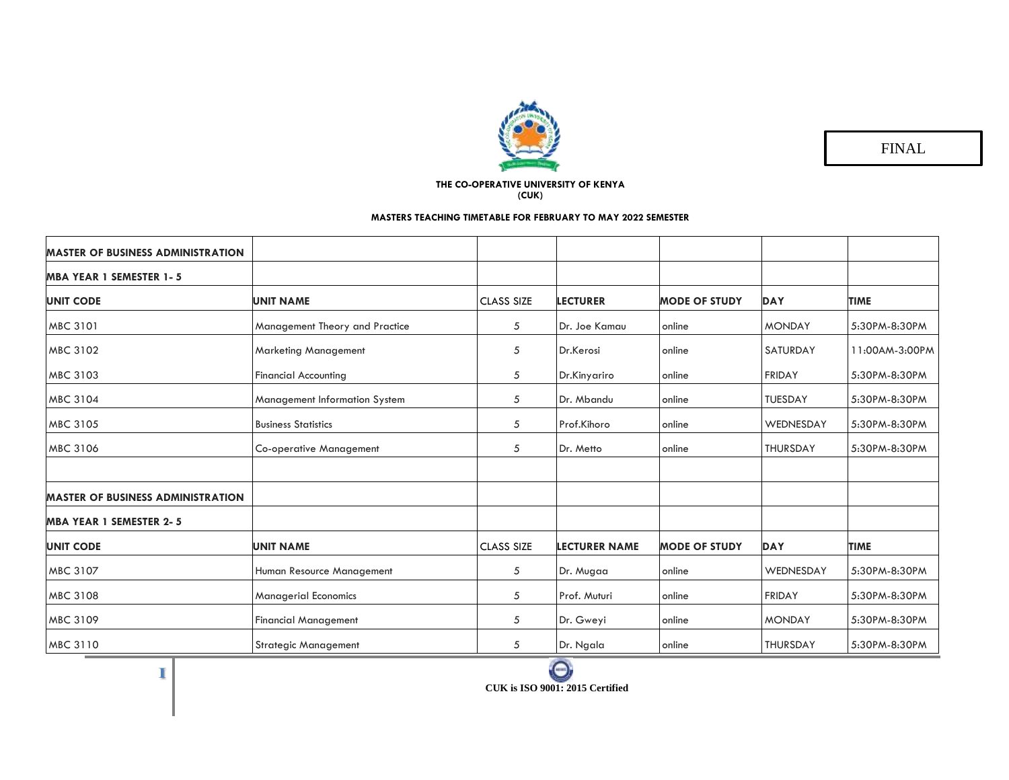

FINAL

## **THE CO-OPERATIVE UNIVERSITY OF KENYA (CUK)**

## **MASTERS TEACHING TIMETABLE FOR FEBRUARY TO MAY 2022 SEMESTER**

| <b>MASTER OF BUSINESS ADMINISTRATION</b> |                                |                   |                      |                      |                 |                |
|------------------------------------------|--------------------------------|-------------------|----------------------|----------------------|-----------------|----------------|
| <b>MBA YEAR 1 SEMESTER 1-5</b>           |                                |                   |                      |                      |                 |                |
| <b>UNIT CODE</b>                         | <b>UNIT NAME</b>               | <b>CLASS SIZE</b> | <b>LECTURER</b>      | <b>MODE OF STUDY</b> | <b>DAY</b>      | <b>TIME</b>    |
| MBC 3101                                 | Management Theory and Practice | 5                 | Dr. Joe Kamau        | online               | <b>MONDAY</b>   | 5:30PM-8:30PM  |
| MBC 3102                                 | <b>Marketing Management</b>    | 5                 | Dr.Kerosi            | online               | <b>SATURDAY</b> | 11:00AM-3:00PM |
| MBC 3103                                 | <b>Financial Accounting</b>    | 5                 | Dr.Kinyariro         | online               | FRIDAY          | 5:30PM-8:30PM  |
| MBC 3104                                 | Management Information System  | 5                 | Dr. Mbandu           | online               | <b>TUESDAY</b>  | 5:30PM-8:30PM  |
| MBC 3105                                 | <b>Business Statistics</b>     | 5                 | Prof.Kihoro          | online               | WEDNESDAY       | 5:30PM-8:30PM  |
| MBC 3106                                 | <b>Co-operative Management</b> | 5                 | Dr. Metto            | online               | <b>THURSDAY</b> | 5:30PM-8:30PM  |
|                                          |                                |                   |                      |                      |                 |                |
| <b>MASTER OF BUSINESS ADMINISTRATION</b> |                                |                   |                      |                      |                 |                |
| <b>MBA YEAR 1 SEMESTER 2-5</b>           |                                |                   |                      |                      |                 |                |
| <b>UNIT CODE</b>                         | <b>UNIT NAME</b>               | <b>CLASS SIZE</b> | <b>LECTURER NAME</b> | <b>MODE OF STUDY</b> | <b>DAY</b>      | <b>TIME</b>    |
| MBC 3107                                 | Human Resource Management      | 5                 | Dr. Mugaa            | online               | WEDNESDAY       | 5:30PM-8:30PM  |
| MBC 3108                                 | <b>Managerial Economics</b>    | 5                 | Prof. Muturi         | online               | <b>FRIDAY</b>   | 5:30PM-8:30PM  |
| MBC 3109                                 | <b>Financial Management</b>    | 5                 | Dr. Gweyi            | online               | <b>MONDAY</b>   | 5:30PM-8:30PM  |
| MBC 3110                                 | <b>Strategic Management</b>    | 5                 | Dr. Ngala            | online               | <b>THURSDAY</b> | 5:30PM-8:30PM  |